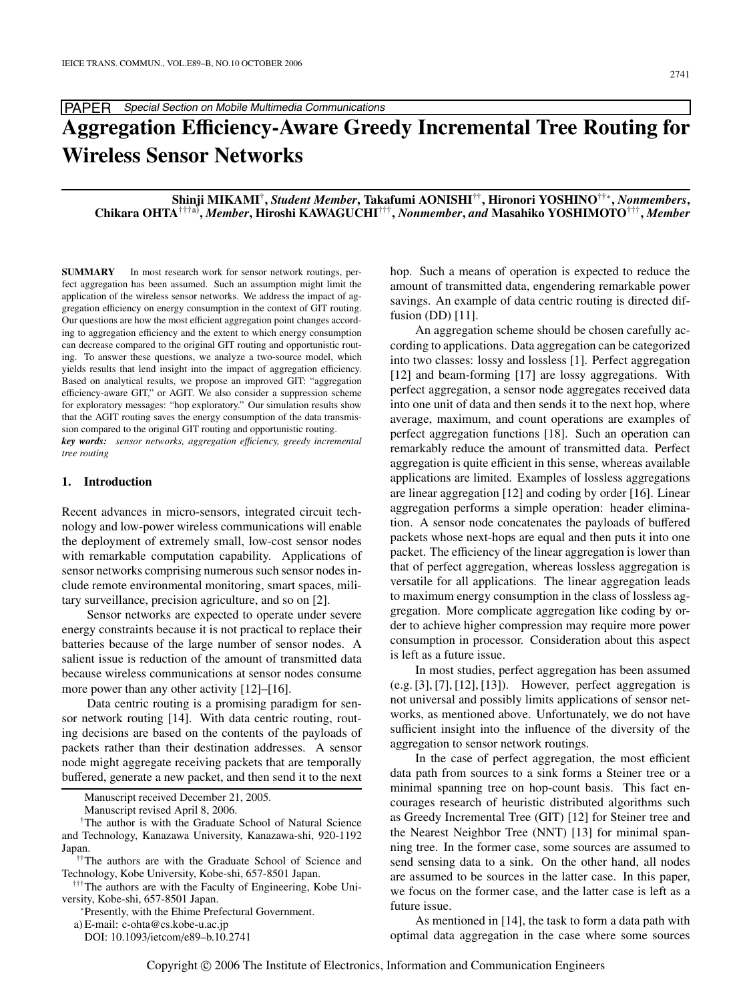# **Aggregation E**ffi**ciency-Aware Greedy Incremental Tree Routing for Wireless Sensor Networks**

**Shinji MIKAMI**†**,** *Student Member***, Takafumi AONISHI**††**, Hironori YOSHINO**††∗**,** *Nonmembers***, Chikara OHTA**†††a)**,** *Member***, Hiroshi KAWAGUCHI**†††**,** *Nonmember***,** *and* **Masahiko YOSHIMOTO**†††**,** *Member*

**SUMMARY** In most research work for sensor network routings, perfect aggregation has been assumed. Such an assumption might limit the application of the wireless sensor networks. We address the impact of aggregation efficiency on energy consumption in the context of GIT routing. Our questions are how the most efficient aggregation point changes according to aggregation efficiency and the extent to which energy consumption can decrease compared to the original GIT routing and opportunistic routing. To answer these questions, we analyze a two-source model, which yields results that lend insight into the impact of aggregation efficiency. Based on analytical results, we propose an improved GIT: "aggregation efficiency-aware GIT," or AGIT. We also consider a suppression scheme for exploratory messages: "hop exploratory." Our simulation results show that the AGIT routing saves the energy consumption of the data transmission compared to the original GIT routing and opportunistic routing. *key words: sensor networks, aggregation e*ffi*ciency, greedy incremental*

*tree routing*

## **1. Introduction**

Recent advances in micro-sensors, integrated circuit technology and low-power wireless communications will enable the deployment of extremely small, low-cost sensor nodes with remarkable computation capability. Applications of sensor networks comprising numerous such sensor nodes include remote environmental monitoring, smart spaces, military surveillance, precision agriculture, and so on [2].

Sensor networks are expected to operate under severe energy constraints because it is not practical to replace their batteries because of the large number of sensor nodes. A salient issue is reduction of the amount of transmitted data because wireless communications at sensor nodes consume more power than any other activity [12]–[16].

Data centric routing is a promising paradigm for sensor network routing [14]. With data centric routing, routing decisions are based on the contents of the payloads of packets rather than their destination addresses. A sensor node might aggregate receiving packets that are temporally buffered, generate a new packet, and then send it to the next

Manuscript received December 21, 2005.

Manuscript revised April 8, 2006.

†††The authors are with the Faculty of Engineering, Kobe University, Kobe-shi, 657-8501 Japan.<br>\*Presently, with the Ehime Prefectural Government.

a) E-mail: c-ohta@cs.kobe-u.ac.jp

DOI: 10.1093/ietcom/e89–b.10.2741

hop. Such a means of operation is expected to reduce the amount of transmitted data, engendering remarkable power savings. An example of data centric routing is directed diffusion (DD) [11].

An aggregation scheme should be chosen carefully according to applications. Data aggregation can be categorized into two classes: lossy and lossless [1]. Perfect aggregation [12] and beam-forming [17] are lossy aggregations. With perfect aggregation, a sensor node aggregates received data into one unit of data and then sends it to the next hop, where average, maximum, and count operations are examples of perfect aggregation functions [18]. Such an operation can remarkably reduce the amount of transmitted data. Perfect aggregation is quite efficient in this sense, whereas available applications are limited. Examples of lossless aggregations are linear aggregation [12] and coding by order [16]. Linear aggregation performs a simple operation: header elimination. A sensor node concatenates the payloads of buffered packets whose next-hops are equal and then puts it into one packet. The efficiency of the linear aggregation is lower than that of perfect aggregation, whereas lossless aggregation is versatile for all applications. The linear aggregation leads to maximum energy consumption in the class of lossless aggregation. More complicate aggregation like coding by order to achieve higher compression may require more power consumption in processor. Consideration about this aspect is left as a future issue.

In most studies, perfect aggregation has been assumed  $(e.g. [3], [7], [12], [13])$ . However, perfect aggregation is not universal and possibly limits applications of sensor networks, as mentioned above. Unfortunately, we do not have sufficient insight into the influence of the diversity of the aggregation to sensor network routings.

In the case of perfect aggregation, the most efficient data path from sources to a sink forms a Steiner tree or a minimal spanning tree on hop-count basis. This fact encourages research of heuristic distributed algorithms such as Greedy Incremental Tree (GIT) [12] for Steiner tree and the Nearest Neighbor Tree (NNT) [13] for minimal spanning tree. In the former case, some sources are assumed to send sensing data to a sink. On the other hand, all nodes are assumed to be sources in the latter case. In this paper, we focus on the former case, and the latter case is left as a future issue.

As mentioned in [14], the task to form a data path with optimal data aggregation in the case where some sources

<sup>†</sup>The author is with the Graduate School of Natural Science and Technology, Kanazawa University, Kanazawa-shi, 920-1192 Japan.

<sup>††</sup>The authors are with the Graduate School of Science and Technology, Kobe University, Kobe-shi, 657-8501 Japan.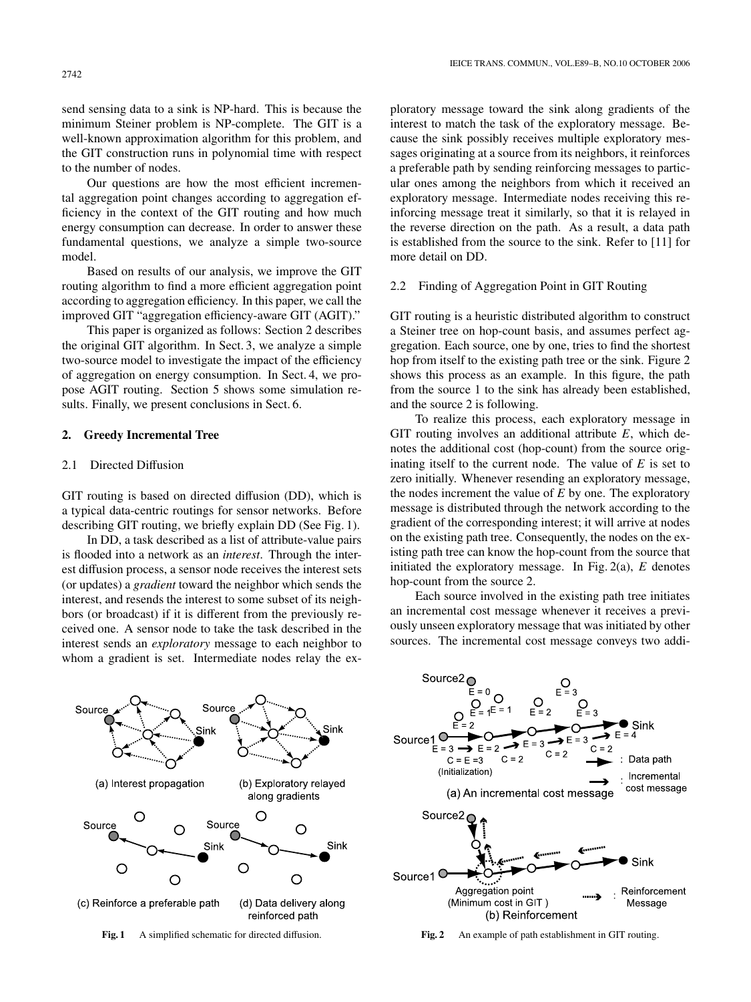send sensing data to a sink is NP-hard. This is because the minimum Steiner problem is NP-complete. The GIT is a well-known approximation algorithm for this problem, and the GIT construction runs in polynomial time with respect to the number of nodes.

Our questions are how the most efficient incremental aggregation point changes according to aggregation efficiency in the context of the GIT routing and how much energy consumption can decrease. In order to answer these fundamental questions, we analyze a simple two-source model.

Based on results of our analysis, we improve the GIT routing algorithm to find a more efficient aggregation point according to aggregation efficiency. In this paper, we call the improved GIT "aggregation efficiency-aware GIT (AGIT)."

This paper is organized as follows: Section 2 describes the original GIT algorithm. In Sect. 3, we analyze a simple two-source model to investigate the impact of the efficiency of aggregation on energy consumption. In Sect. 4, we propose AGIT routing. Section 5 shows some simulation results. Finally, we present conclusions in Sect. 6.

## **2. Greedy Incremental Tree**

## 2.1 Directed Diffusion

GIT routing is based on directed diffusion (DD), which is a typical data-centric routings for sensor networks. Before describing GIT routing, we briefly explain DD (See Fig. 1).

In DD, a task described as a list of attribute-value pairs is flooded into a network as an *interest*. Through the interest diffusion process, a sensor node receives the interest sets (or updates) a *gradient* toward the neighbor which sends the interest, and resends the interest to some subset of its neighbors (or broadcast) if it is different from the previously received one. A sensor node to take the task described in the interest sends an *exploratory* message to each neighbor to whom a gradient is set. Intermediate nodes relay the exploratory message toward the sink along gradients of the interest to match the task of the exploratory message. Because the sink possibly receives multiple exploratory messages originating at a source from its neighbors, it reinforces a preferable path by sending reinforcing messages to particular ones among the neighbors from which it received an exploratory message. Intermediate nodes receiving this reinforcing message treat it similarly, so that it is relayed in the reverse direction on the path. As a result, a data path is established from the source to the sink. Refer to [11] for more detail on DD.

## 2.2 Finding of Aggregation Point in GIT Routing

GIT routing is a heuristic distributed algorithm to construct a Steiner tree on hop-count basis, and assumes perfect aggregation. Each source, one by one, tries to find the shortest hop from itself to the existing path tree or the sink. Figure 2 shows this process as an example. In this figure, the path from the source 1 to the sink has already been established, and the source 2 is following.

To realize this process, each exploratory message in GIT routing involves an additional attribute *E*, which denotes the additional cost (hop-count) from the source originating itself to the current node. The value of *E* is set to zero initially. Whenever resending an exploratory message, the nodes increment the value of *E* by one. The exploratory message is distributed through the network according to the gradient of the corresponding interest; it will arrive at nodes on the existing path tree. Consequently, the nodes on the existing path tree can know the hop-count from the source that initiated the exploratory message. In Fig. 2(a), *E* denotes hop-count from the source 2.

Each source involved in the existing path tree initiates an incremental cost message whenever it receives a previously unseen exploratory message that was initiated by other sources. The incremental cost message conveys two addi-







**Fig. 2** An example of path establishment in GIT routing.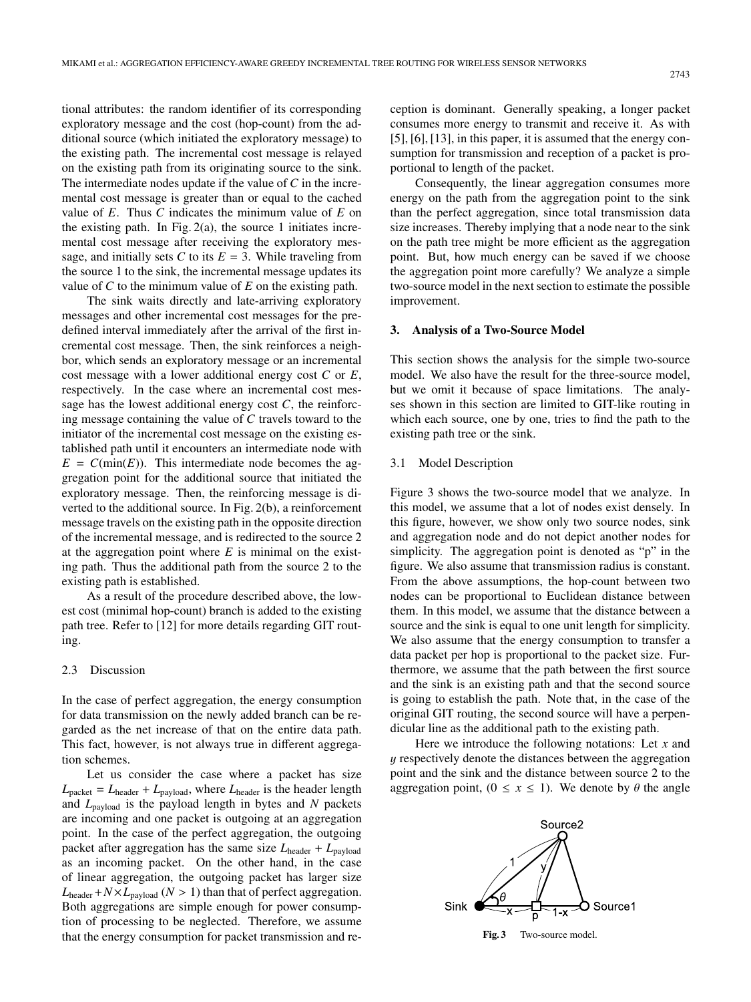tional attributes: the random identifier of its corresponding exploratory message and the cost (hop-count) from the additional source (which initiated the exploratory message) to the existing path. The incremental cost message is relayed on the existing path from its originating source to the sink. The intermediate nodes update if the value of *C* in the incremental cost message is greater than or equal to the cached value of *E*. Thus *C* indicates the minimum value of *E* on the existing path. In Fig.  $2(a)$ , the source 1 initiates incremental cost message after receiving the exploratory message, and initially sets *C* to its  $E = 3$ . While traveling from the source 1 to the sink, the incremental message updates its value of *C* to the minimum value of *E* on the existing path.

The sink waits directly and late-arriving exploratory messages and other incremental cost messages for the predefined interval immediately after the arrival of the first incremental cost message. Then, the sink reinforces a neighbor, which sends an exploratory message or an incremental cost message with a lower additional energy cost *C* or *E*, respectively. In the case where an incremental cost message has the lowest additional energy cost  $C$ , the reinforcing message containing the value of *C* travels toward to the initiator of the incremental cost message on the existing established path until it encounters an intermediate node with  $E = C(\min(E))$ . This intermediate node becomes the aggregation point for the additional source that initiated the exploratory message. Then, the reinforcing message is diverted to the additional source. In Fig. 2(b), a reinforcement message travels on the existing path in the opposite direction of the incremental message, and is redirected to the source 2 at the aggregation point where *E* is minimal on the existing path. Thus the additional path from the source 2 to the existing path is established.

As a result of the procedure described above, the lowest cost (minimal hop-count) branch is added to the existing path tree. Refer to [12] for more details regarding GIT routing.

#### 2.3 Discussion

In the case of perfect aggregation, the energy consumption for data transmission on the newly added branch can be regarded as the net increase of that on the entire data path. This fact, however, is not always true in different aggregation schemes.

Let us consider the case where a packet has size  $L_{\text{packet}} = L_{\text{header}} + L_{\text{payload}}$ , where  $L_{\text{header}}$  is the header length and *L*payload is the payload length in bytes and *N* packets are incoming and one packet is outgoing at an aggregation point. In the case of the perfect aggregation, the outgoing packet after aggregation has the same size  $L_{\text{header}} + L_{\text{payload}}$ as an incoming packet. On the other hand, in the case of linear aggregation, the outgoing packet has larger size  $L_{\text{header}} + N \times L_{\text{pavid}}$  ( $N > 1$ ) than that of perfect aggregation. Both aggregations are simple enough for power consumption of processing to be neglected. Therefore, we assume that the energy consumption for packet transmission and reception is dominant. Generally speaking, a longer packet consumes more energy to transmit and receive it. As with [5], [6], [13], in this paper, it is assumed that the energy consumption for transmission and reception of a packet is proportional to length of the packet.

Consequently, the linear aggregation consumes more energy on the path from the aggregation point to the sink than the perfect aggregation, since total transmission data size increases. Thereby implying that a node near to the sink on the path tree might be more efficient as the aggregation point. But, how much energy can be saved if we choose the aggregation point more carefully? We analyze a simple two-source model in the next section to estimate the possible improvement.

## **3. Analysis of a Two-Source Model**

This section shows the analysis for the simple two-source model. We also have the result for the three-source model, but we omit it because of space limitations. The analyses shown in this section are limited to GIT-like routing in which each source, one by one, tries to find the path to the existing path tree or the sink.

#### 3.1 Model Description

Figure 3 shows the two-source model that we analyze. In this model, we assume that a lot of nodes exist densely. In this figure, however, we show only two source nodes, sink and aggregation node and do not depict another nodes for simplicity. The aggregation point is denoted as "p" in the figure. We also assume that transmission radius is constant. From the above assumptions, the hop-count between two nodes can be proportional to Euclidean distance between them. In this model, we assume that the distance between a source and the sink is equal to one unit length for simplicity. We also assume that the energy consumption to transfer a data packet per hop is proportional to the packet size. Furthermore, we assume that the path between the first source and the sink is an existing path and that the second source is going to establish the path. Note that, in the case of the original GIT routing, the second source will have a perpendicular line as the additional path to the existing path.

Here we introduce the following notations: Let *x* and y respectively denote the distances between the aggregation point and the sink and the distance between source 2 to the aggregation point,  $(0 \le x \le 1)$ . We denote by  $\theta$  the angle



#### **Fig. 3** Two-source model.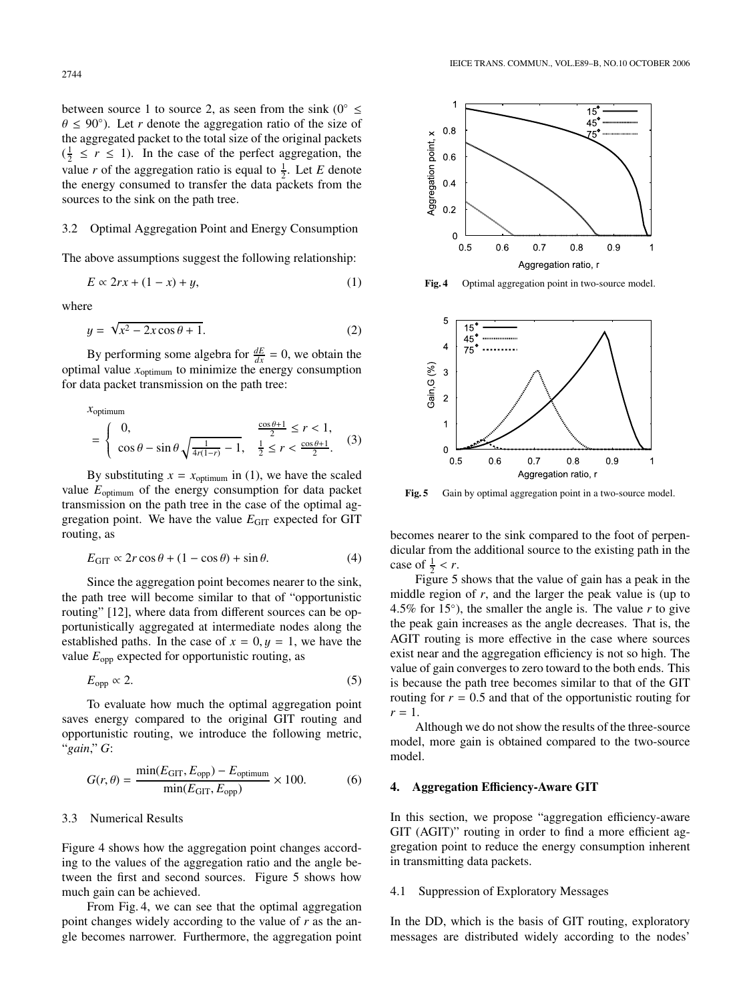between source 1 to source 2, as seen from the sink ( $0^{\circ} \le$  $\theta \leq 90^{\circ}$ ). Let *r* denote the aggregation ratio of the size of the aggregated packet to the total size of the original packets  $(\frac{1}{2} \le r \le 1)$ . In the case of the perfect aggregation, the value *r* of the aggregation ratio is equal to  $\frac{1}{2}$ . Let *E* denote the energy consumed to transfer the data packets from the sources to the sink on the path tree.

## 3.2 Optimal Aggregation Point and Energy Consumption

The above assumptions suggest the following relationship:

$$
E \propto 2rx + (1 - x) + y,\tag{1}
$$

where

$$
y = \sqrt{x^2 - 2x\cos\theta + 1}.\tag{2}
$$

By performing some algebra for  $\frac{dE}{dx} = 0$ , we obtain the optimal value *x*optimum to minimize the energy consumption for data packet transmission on the path tree:

$$
x_{\text{optimum}} = \begin{cases} 0, & \frac{\cos \theta + 1}{2} \le r < 1, \\ \cos \theta - \sin \theta \sqrt{\frac{1}{4r(1-r)}} - 1, & \frac{1}{2} \le r < \frac{\cos \theta + 1}{2}. \end{cases} (3)
$$

By substituting  $x = x_{\text{optimum}}$  in (1), we have the scaled value  $E_{\text{optimum}}$  of the energy consumption for data packet transmission on the path tree in the case of the optimal aggregation point. We have the value  $E<sub>GIT</sub>$  expected for GIT routing, as

$$
E_{\text{GIT}} \propto 2r \cos \theta + (1 - \cos \theta) + \sin \theta. \tag{4}
$$

Since the aggregation point becomes nearer to the sink, the path tree will become similar to that of "opportunistic routing" [12], where data from different sources can be opportunistically aggregated at intermediate nodes along the established paths. In the case of  $x = 0, y = 1$ , we have the value  $E_{opp}$  expected for opportunistic routing, as

$$
E_{\rm opp} \propto 2. \tag{5}
$$

To evaluate how much the optimal aggregation point saves energy compared to the original GIT routing and opportunistic routing, we introduce the following metric, "*gain*," *G*:

$$
G(r,\theta) = \frac{\min(E_{\text{GIT}}, E_{\text{opp}}) - E_{\text{optimum}}}{\min(E_{\text{GIT}}, E_{\text{opp}})} \times 100. \tag{6}
$$

## 3.3 Numerical Results

Figure 4 shows how the aggregation point changes according to the values of the aggregation ratio and the angle between the first and second sources. Figure 5 shows how much gain can be achieved.

From Fig. 4, we can see that the optimal aggregation point changes widely according to the value of *r* as the angle becomes narrower. Furthermore, the aggregation point



**Fig. 4** Optimal aggregation point in two-source model.



**Fig. 5** Gain by optimal aggregation point in a two-source model.

becomes nearer to the sink compared to the foot of perpendicular from the additional source to the existing path in the case of  $\frac{1}{2} < r$ .

Figure 5 shows that the value of gain has a peak in the middle region of *r*, and the larger the peak value is (up to 4.5% for 15◦), the smaller the angle is. The value *r* to give the peak gain increases as the angle decreases. That is, the AGIT routing is more effective in the case where sources exist near and the aggregation efficiency is not so high. The value of gain converges to zero toward to the both ends. This is because the path tree becomes similar to that of the GIT routing for  $r = 0.5$  and that of the opportunistic routing for  $r = 1$ .

Although we do not show the results of the three-source model, more gain is obtained compared to the two-source model.

## **4. Aggregation E**ffi**ciency-Aware GIT**

In this section, we propose "aggregation efficiency-aware GIT (AGIT)" routing in order to find a more efficient aggregation point to reduce the energy consumption inherent in transmitting data packets.

#### 4.1 Suppression of Exploratory Messages

In the DD, which is the basis of GIT routing, exploratory messages are distributed widely according to the nodes'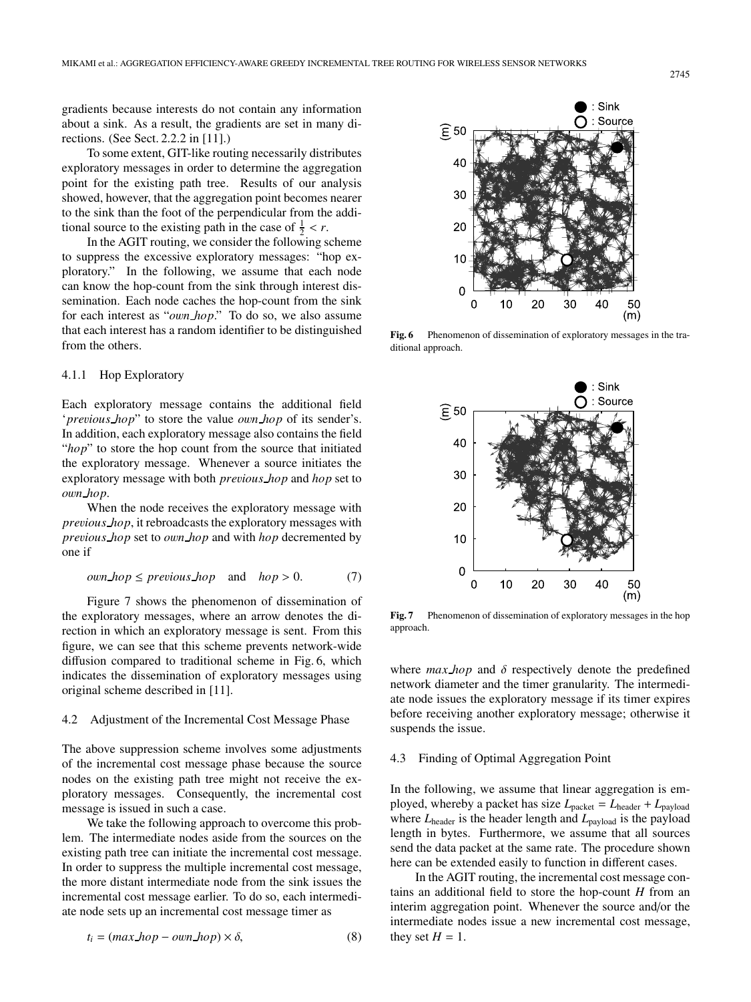gradients because interests do not contain any information about a sink. As a result, the gradients are set in many directions. (See Sect. 2.2.2 in [11].)

To some extent, GIT-like routing necessarily distributes exploratory messages in order to determine the aggregation point for the existing path tree. Results of our analysis showed, however, that the aggregation point becomes nearer to the sink than the foot of the perpendicular from the additional source to the existing path in the case of  $\frac{1}{2} < r$ .

In the AGIT routing, we consider the following scheme to suppress the excessive exploratory messages: "hop exploratory." In the following, we assume that each node can know the hop-count from the sink through interest dissemination. Each node caches the hop-count from the sink for each interest as "*o*w*n hop*." To do so, we also assume that each interest has a random identifier to be distinguished from the others.

## 4.1.1 Hop Exploratory

Each exploratory message contains the additional field '*pre*v*ious hop*" to store the value *o*w*n hop* of its sender's. In addition, each exploratory message also contains the field "*hop*" to store the hop count from the source that initiated the exploratory message. Whenever a source initiates the exploratory message with both *pre*v*ious hop* and *hop* set to *o*w*n hop*.

When the node receives the exploratory message with *pre*v*ious hop*, it rebroadcasts the exploratory messages with *pre*v*ious hop* set to *o*w*n hop* and with *hop* decremented by one if

*own-hop* 
$$
\leq
$$
 *previous-hop* and *hop*  $> 0$ . (7)

Figure 7 shows the phenomenon of dissemination of the exploratory messages, where an arrow denotes the direction in which an exploratory message is sent. From this figure, we can see that this scheme prevents network-wide diffusion compared to traditional scheme in Fig. 6, which indicates the dissemination of exploratory messages using original scheme described in [11].

#### 4.2 Adjustment of the Incremental Cost Message Phase

The above suppression scheme involves some adjustments of the incremental cost message phase because the source nodes on the existing path tree might not receive the exploratory messages. Consequently, the incremental cost message is issued in such a case.

We take the following approach to overcome this problem. The intermediate nodes aside from the sources on the existing path tree can initiate the incremental cost message. In order to suppress the multiple incremental cost message, the more distant intermediate node from the sink issues the incremental cost message earlier. To do so, each intermediate node sets up an incremental cost message timer as

$$
t_i = (max\_hop - own\_hop) \times \delta,
$$
 (8)



**Fig. 6** Phenomenon of dissemination of exploratory messages in the traditional approach.



**Fig. 7** Phenomenon of dissemination of exploratory messages in the hop approach.

where  $max\_hop$  and  $\delta$  respectively denote the predefined network diameter and the timer granularity. The intermediate node issues the exploratory message if its timer expires before receiving another exploratory message; otherwise it suspends the issue.

## 4.3 Finding of Optimal Aggregation Point

In the following, we assume that linear aggregation is employed, whereby a packet has size  $L_{\text{packet}} = L_{\text{header}} + L_{\text{payload}}$ where *L*<sub>header</sub> is the header length and *L*<sub>payload</sub> is the payload length in bytes. Furthermore, we assume that all sources send the data packet at the same rate. The procedure shown here can be extended easily to function in different cases.

In the AGIT routing, the incremental cost message contains an additional field to store the hop-count *H* from an interim aggregation point. Whenever the source and/or the intermediate nodes issue a new incremental cost message, they set  $H = 1$ .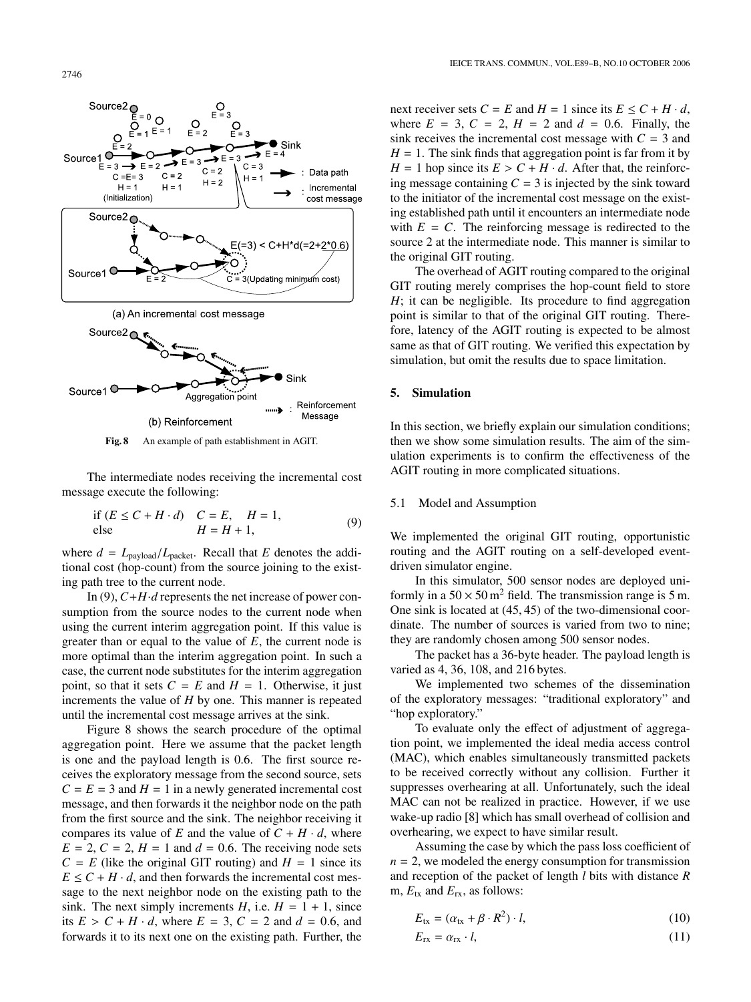2746



**Fig. 8** An example of path establishment in AGIT.

The intermediate nodes receiving the incremental cost message execute the following:

if 
$$
(E \le C + H \cdot d)
$$
  $C = E$ ,  $H = 1$ ,  
else  $H = H + 1$ , (9)

where  $d = L_{\text{payload}}/L_{\text{packet}}$ . Recall that *E* denotes the additional cost (hop-count) from the source joining to the existing path tree to the current node.

In (9),  $C+H \cdot d$  represents the net increase of power consumption from the source nodes to the current node when using the current interim aggregation point. If this value is greater than or equal to the value of *E*, the current node is more optimal than the interim aggregation point. In such a case, the current node substitutes for the interim aggregation point, so that it sets  $C = E$  and  $H = 1$ . Otherwise, it just increments the value of *H* by one. This manner is repeated until the incremental cost message arrives at the sink.

Figure 8 shows the search procedure of the optimal aggregation point. Here we assume that the packet length is one and the payload length is 0.6. The first source receives the exploratory message from the second source, sets  $C = E = 3$  and  $H = 1$  in a newly generated incremental cost message, and then forwards it the neighbor node on the path from the first source and the sink. The neighbor receiving it compares its value of *E* and the value of  $C + H \cdot d$ , where  $E = 2$ ,  $C = 2$ ,  $H = 1$  and  $d = 0.6$ . The receiving node sets  $C = E$  (like the original GIT routing) and  $H = 1$  since its  $E \leq C + H \cdot d$ , and then forwards the incremental cost message to the next neighbor node on the existing path to the sink. The next simply increments  $H$ , i.e.  $H = 1 + 1$ , since its  $E > C + H \cdot d$ , where  $E = 3$ ,  $C = 2$  and  $d = 0.6$ , and forwards it to its next one on the existing path. Further, the

next receiver sets  $C = E$  and  $H = 1$  since its  $E \le C + H \cdot d$ , where  $E = 3$ ,  $C = 2$ ,  $H = 2$  and  $d = 0.6$ . Finally, the sink receives the incremental cost message with  $C = 3$  and  $H = 1$ . The sink finds that aggregation point is far from it by  $H = 1$  hop since its  $E > C + H \cdot d$ . After that, the reinforcing message containing  $C = 3$  is injected by the sink toward to the initiator of the incremental cost message on the existing established path until it encounters an intermediate node with  $E = C$ . The reinforcing message is redirected to the source 2 at the intermediate node. This manner is similar to the original GIT routing.

The overhead of AGIT routing compared to the original GIT routing merely comprises the hop-count field to store *H*; it can be negligible. Its procedure to find aggregation point is similar to that of the original GIT routing. Therefore, latency of the AGIT routing is expected to be almost same as that of GIT routing. We verified this expectation by simulation, but omit the results due to space limitation.

## **5. Simulation**

In this section, we briefly explain our simulation conditions; then we show some simulation results. The aim of the simulation experiments is to confirm the effectiveness of the AGIT routing in more complicated situations.

## 5.1 Model and Assumption

We implemented the original GIT routing, opportunistic routing and the AGIT routing on a self-developed eventdriven simulator engine.

In this simulator, 500 sensor nodes are deployed uniformly in a  $50 \times 50$  m<sup>2</sup> field. The transmission range is 5 m. One sink is located at (45, 45) of the two-dimensional coordinate. The number of sources is varied from two to nine; they are randomly chosen among 500 sensor nodes.

The packet has a 36-byte header. The payload length is varied as 4, 36, 108, and 216 bytes.

We implemented two schemes of the dissemination of the exploratory messages: "traditional exploratory" and "hop exploratory."

To evaluate only the effect of adjustment of aggregation point, we implemented the ideal media access control (MAC), which enables simultaneously transmitted packets to be received correctly without any collision. Further it suppresses overhearing at all. Unfortunately, such the ideal MAC can not be realized in practice. However, if we use wake-up radio [8] which has small overhead of collision and overhearing, we expect to have similar result.

Assuming the case by which the pass loss coefficient of  $n = 2$ , we modeled the energy consumption for transmission and reception of the packet of length *l* bits with distance *R* m,  $E_{tx}$  and  $E_{rx}$ , as follows:

$$
E_{\text{tx}} = (\alpha_{\text{tx}} + \beta \cdot R^2) \cdot l,\tag{10}
$$

$$
E_{\rm rx} = \alpha_{\rm rx} \cdot l,\tag{11}
$$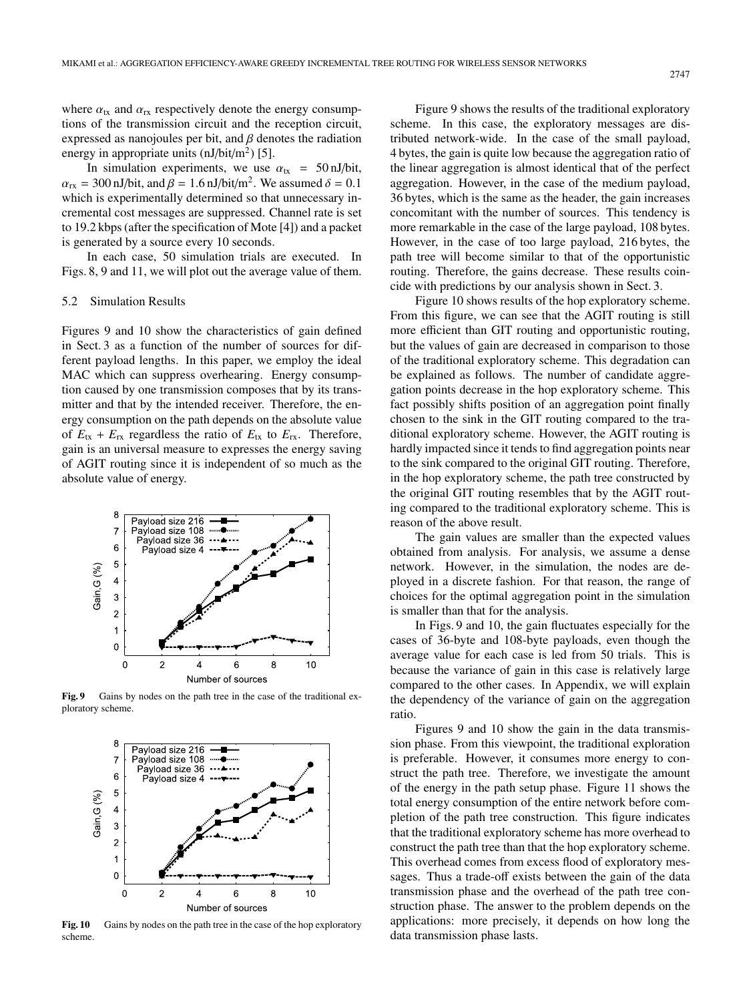where  $\alpha_{tx}$  and  $\alpha_{rx}$  respectively denote the energy consumptions of the transmission circuit and the reception circuit, expressed as nanojoules per bit, and  $\beta$  denotes the radiation energy in appropriate units  $(nJ/bit/m<sup>2</sup>)$  [5].

In simulation experiments, we use  $\alpha_{tx}$  = 50 nJ/bit,  $\alpha_{\text{rx}}$  = 300 nJ/bit, and  $\beta$  = 1.6 nJ/bit/m<sup>2</sup>. We assumed  $\delta$  = 0.1 which is experimentally determined so that unnecessary incremental cost messages are suppressed. Channel rate is set to 19.2 kbps (after the specification of Mote [4]) and a packet is generated by a source every 10 seconds.

In each case, 50 simulation trials are executed. In Figs. 8, 9 and 11, we will plot out the average value of them.

#### 5.2 Simulation Results

Figures 9 and 10 show the characteristics of gain defined in Sect. 3 as a function of the number of sources for different payload lengths. In this paper, we employ the ideal MAC which can suppress overhearing. Energy consumption caused by one transmission composes that by its transmitter and that by the intended receiver. Therefore, the energy consumption on the path depends on the absolute value of  $E_{tx} + E_{rx}$  regardless the ratio of  $E_{tx}$  to  $E_{rx}$ . Therefore, gain is an universal measure to expresses the energy saving of AGIT routing since it is independent of so much as the absolute value of energy.



Fig. 9 Gains by nodes on the path tree in the case of the traditional exploratory scheme.



Fig. 10 Gains by nodes on the path tree in the case of the hop exploratory scheme.

Figure 9 shows the results of the traditional exploratory scheme. In this case, the exploratory messages are distributed network-wide. In the case of the small payload, 4 bytes, the gain is quite low because the aggregation ratio of the linear aggregation is almost identical that of the perfect aggregation. However, in the case of the medium payload, 36 bytes, which is the same as the header, the gain increases concomitant with the number of sources. This tendency is more remarkable in the case of the large payload, 108 bytes. However, in the case of too large payload, 216 bytes, the path tree will become similar to that of the opportunistic routing. Therefore, the gains decrease. These results coincide with predictions by our analysis shown in Sect. 3.

Figure 10 shows results of the hop exploratory scheme. From this figure, we can see that the AGIT routing is still more efficient than GIT routing and opportunistic routing, but the values of gain are decreased in comparison to those of the traditional exploratory scheme. This degradation can be explained as follows. The number of candidate aggregation points decrease in the hop exploratory scheme. This fact possibly shifts position of an aggregation point finally chosen to the sink in the GIT routing compared to the traditional exploratory scheme. However, the AGIT routing is hardly impacted since it tends to find aggregation points near to the sink compared to the original GIT routing. Therefore, in the hop exploratory scheme, the path tree constructed by the original GIT routing resembles that by the AGIT routing compared to the traditional exploratory scheme. This is reason of the above result.

The gain values are smaller than the expected values obtained from analysis. For analysis, we assume a dense network. However, in the simulation, the nodes are deployed in a discrete fashion. For that reason, the range of choices for the optimal aggregation point in the simulation is smaller than that for the analysis.

In Figs. 9 and 10, the gain fluctuates especially for the cases of 36-byte and 108-byte payloads, even though the average value for each case is led from 50 trials. This is because the variance of gain in this case is relatively large compared to the other cases. In Appendix, we will explain the dependency of the variance of gain on the aggregation ratio.

Figures 9 and 10 show the gain in the data transmission phase. From this viewpoint, the traditional exploration is preferable. However, it consumes more energy to construct the path tree. Therefore, we investigate the amount of the energy in the path setup phase. Figure 11 shows the total energy consumption of the entire network before completion of the path tree construction. This figure indicates that the traditional exploratory scheme has more overhead to construct the path tree than that the hop exploratory scheme. This overhead comes from excess flood of exploratory messages. Thus a trade-off exists between the gain of the data transmission phase and the overhead of the path tree construction phase. The answer to the problem depends on the applications: more precisely, it depends on how long the data transmission phase lasts.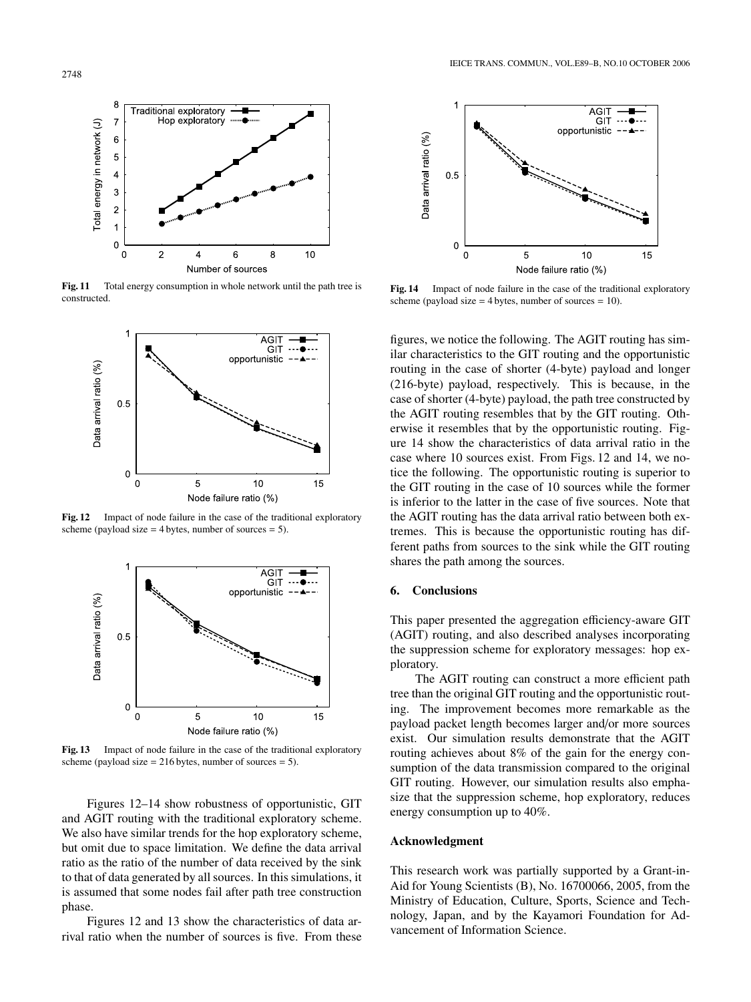

**Fig. 11** Total energy consumption in whole network until the path tree is constructed.



**Fig. 12** Impact of node failure in the case of the traditional exploratory scheme (payload size  $= 4$  bytes, number of sources  $= 5$ ).



**Fig. 13** Impact of node failure in the case of the traditional exploratory scheme (payload size  $= 216$  bytes, number of sources  $= 5$ ).

Figures 12–14 show robustness of opportunistic, GIT and AGIT routing with the traditional exploratory scheme. We also have similar trends for the hop exploratory scheme, but omit due to space limitation. We define the data arrival ratio as the ratio of the number of data received by the sink to that of data generated by all sources. In this simulations, it is assumed that some nodes fail after path tree construction phase.

Figures 12 and 13 show the characteristics of data arrival ratio when the number of sources is five. From these



**Fig. 14** Impact of node failure in the case of the traditional exploratory scheme (payload size  $=$  4 bytes, number of sources  $=$  10).

figures, we notice the following. The AGIT routing has similar characteristics to the GIT routing and the opportunistic routing in the case of shorter (4-byte) payload and longer (216-byte) payload, respectively. This is because, in the case of shorter (4-byte) payload, the path tree constructed by the AGIT routing resembles that by the GIT routing. Otherwise it resembles that by the opportunistic routing. Figure 14 show the characteristics of data arrival ratio in the case where 10 sources exist. From Figs. 12 and 14, we notice the following. The opportunistic routing is superior to the GIT routing in the case of 10 sources while the former is inferior to the latter in the case of five sources. Note that the AGIT routing has the data arrival ratio between both extremes. This is because the opportunistic routing has different paths from sources to the sink while the GIT routing shares the path among the sources.

## **6. Conclusions**

This paper presented the aggregation efficiency-aware GIT (AGIT) routing, and also described analyses incorporating the suppression scheme for exploratory messages: hop exploratory.

The AGIT routing can construct a more efficient path tree than the original GIT routing and the opportunistic routing. The improvement becomes more remarkable as the payload packet length becomes larger and/or more sources exist. Our simulation results demonstrate that the AGIT routing achieves about 8% of the gain for the energy consumption of the data transmission compared to the original GIT routing. However, our simulation results also emphasize that the suppression scheme, hop exploratory, reduces energy consumption up to 40%.

#### **Acknowledgment**

This research work was partially supported by a Grant-in-Aid for Young Scientists (B), No. 16700066, 2005, from the Ministry of Education, Culture, Sports, Science and Technology, Japan, and by the Kayamori Foundation for Advancement of Information Science.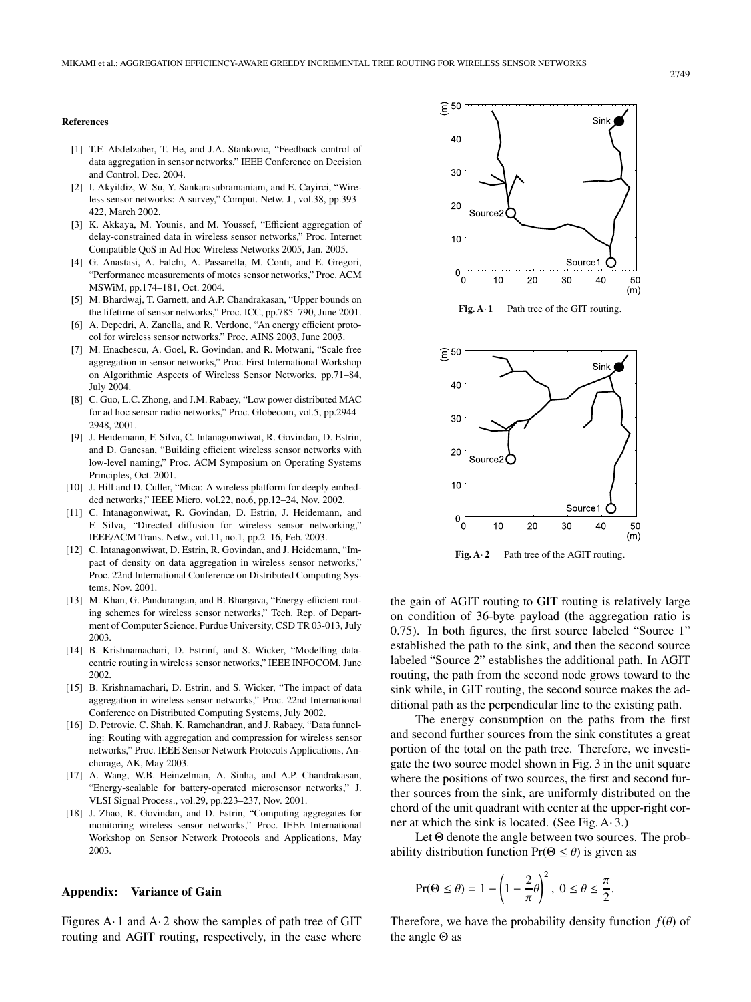#### **References**

- [1] T.F. Abdelzaher, T. He, and J.A. Stankovic, "Feedback control of data aggregation in sensor networks," IEEE Conference on Decision and Control, Dec. 2004.
- [2] I. Akyildiz, W. Su, Y. Sankarasubramaniam, and E. Cayirci, "Wireless sensor networks: A survey," Comput. Netw. J., vol.38, pp.393– 422, March 2002.
- [3] K. Akkaya, M. Younis, and M. Youssef, "Efficient aggregation of delay-constrained data in wireless sensor networks," Proc. Internet Compatible QoS in Ad Hoc Wireless Networks 2005, Jan. 2005.
- [4] G. Anastasi, A. Falchi, A. Passarella, M. Conti, and E. Gregori, "Performance measurements of motes sensor networks," Proc. ACM MSWiM, pp.174–181, Oct. 2004.
- [5] M. Bhardwaj, T. Garnett, and A.P. Chandrakasan, "Upper bounds on the lifetime of sensor networks," Proc. ICC, pp.785–790, June 2001.
- [6] A. Depedri, A. Zanella, and R. Verdone, "An energy efficient protocol for wireless sensor networks," Proc. AINS 2003, June 2003.
- [7] M. Enachescu, A. Goel, R. Govindan, and R. Motwani, "Scale free aggregation in sensor networks," Proc. First International Workshop on Algorithmic Aspects of Wireless Sensor Networks, pp.71–84, July 2004.
- [8] C. Guo, L.C. Zhong, and J.M. Rabaey, "Low power distributed MAC for ad hoc sensor radio networks," Proc. Globecom, vol.5, pp.2944– 2948, 2001.
- [9] J. Heidemann, F. Silva, C. Intanagonwiwat, R. Govindan, D. Estrin, and D. Ganesan, "Building efficient wireless sensor networks with low-level naming," Proc. ACM Symposium on Operating Systems Principles, Oct. 2001.
- [10] J. Hill and D. Culler, "Mica: A wireless platform for deeply embedded networks," IEEE Micro, vol.22, no.6, pp.12–24, Nov. 2002.
- [11] C. Intanagonwiwat, R. Govindan, D. Estrin, J. Heidemann, and F. Silva, "Directed diffusion for wireless sensor networking," IEEE/ACM Trans. Netw., vol.11, no.1, pp.2–16, Feb. 2003.
- [12] C. Intanagonwiwat, D. Estrin, R. Govindan, and J. Heidemann, "Impact of density on data aggregation in wireless sensor networks," Proc. 22nd International Conference on Distributed Computing Systems, Nov. 2001.
- [13] M. Khan, G. Pandurangan, and B. Bhargava, "Energy-efficient routing schemes for wireless sensor networks," Tech. Rep. of Department of Computer Science, Purdue University, CSD TR 03-013, July 2003.
- [14] B. Krishnamachari, D. Estrinf, and S. Wicker, "Modelling datacentric routing in wireless sensor networks," IEEE INFOCOM, June 2002.
- [15] B. Krishnamachari, D. Estrin, and S. Wicker, "The impact of data aggregation in wireless sensor networks," Proc. 22nd International Conference on Distributed Computing Systems, July 2002.
- [16] D. Petrovic, C. Shah, K. Ramchandran, and J. Rabaey, "Data funneling: Routing with aggregation and compression for wireless sensor networks," Proc. IEEE Sensor Network Protocols Applications, Anchorage, AK, May 2003.
- [17] A. Wang, W.B. Heinzelman, A. Sinha, and A.P. Chandrakasan, "Energy-scalable for battery-operated microsensor networks," J. VLSI Signal Process., vol.29, pp.223–237, Nov. 2001.
- [18] J. Zhao, R. Govindan, and D. Estrin, "Computing aggregates for monitoring wireless sensor networks," Proc. IEEE International Workshop on Sensor Network Protocols and Applications, May 2003.

#### **Appendix: Variance of Gain**

Figures A $\cdot$  1 and A $\cdot$  2 show the samples of path tree of GIT routing and AGIT routing, respectively, in the case where



Fig. A $\cdot$  **1** Path tree of the GIT routing.



**Fig. A**· **2** Path tree of the AGIT routing.

the gain of AGIT routing to GIT routing is relatively large on condition of 36-byte payload (the aggregation ratio is 0.75). In both figures, the first source labeled "Source 1" established the path to the sink, and then the second source labeled "Source 2" establishes the additional path. In AGIT routing, the path from the second node grows toward to the sink while, in GIT routing, the second source makes the additional path as the perpendicular line to the existing path.

The energy consumption on the paths from the first and second further sources from the sink constitutes a great portion of the total on the path tree. Therefore, we investigate the two source model shown in Fig. 3 in the unit square where the positions of two sources, the first and second further sources from the sink, are uniformly distributed on the chord of the unit quadrant with center at the upper-right corner at which the sink is located. (See Fig. A· 3.)

Let Θ denote the angle between two sources. The probability distribution function  $Pr(\Theta \le \theta)$  is given as

$$
Pr(\Theta \le \theta) = 1 - \left(1 - \frac{2}{\pi}\theta\right)^2, \ 0 \le \theta \le \frac{\pi}{2}.
$$

Therefore, we have the probability density function  $f(\theta)$  of the angle Θ as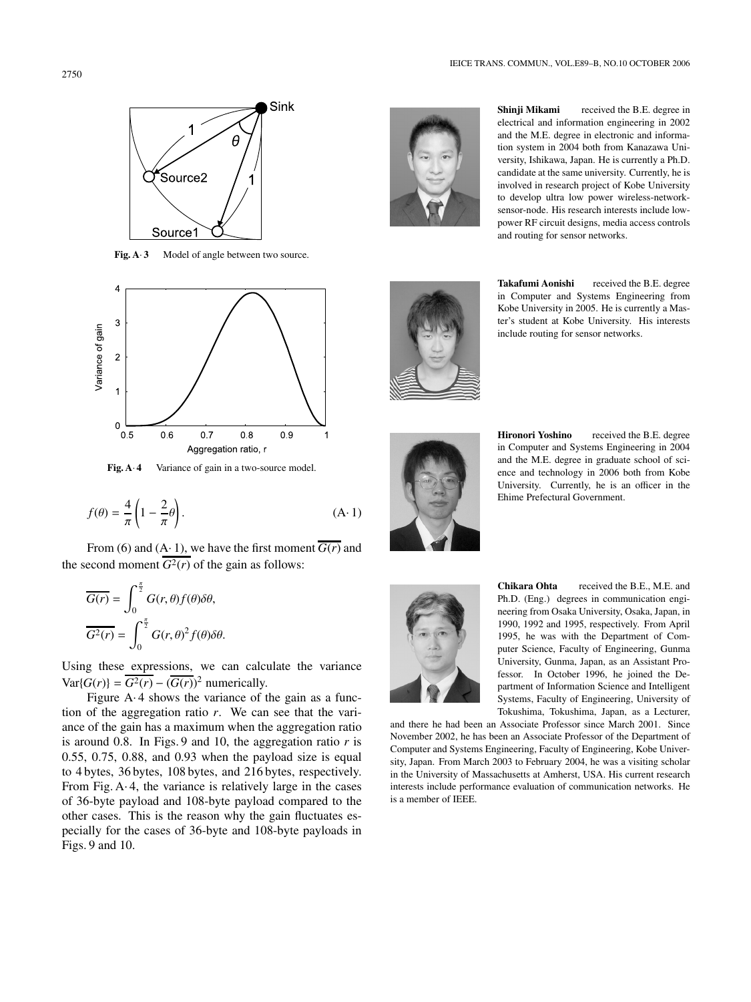

Fig. A· 3 Model of angle between two source.



**Fig. A· 4** Variance of gain in a two-source model.

$$
f(\theta) = \frac{4}{\pi} \left( 1 - \frac{2}{\pi} \theta \right). \tag{A-1}
$$

From (6) and (A·1), we have the first moment  $\overline{G(r)}$  and the second moment  $G^2(r)$  of the gain as follows:

$$
\overline{G(r)} = \int_0^{\frac{\pi}{2}} G(r,\theta) f(\theta) \delta \theta,
$$

$$
\overline{G^2(r)} = \int_0^{\frac{\pi}{2}} G(r,\theta)^2 f(\theta) \delta \theta.
$$

Using these expressions, we can calculate the variance  $Var{G(r)} = \overline{G^2(r)} - (\overline{G(r)})^2$  numerically.

Figure  $A \cdot 4$  shows the variance of the gain as a function of the aggregation ratio *r*. We can see that the variance of the gain has a maximum when the aggregation ratio is around 0.8. In Figs. 9 and 10, the aggregation ratio *r* is 0.55, 0.75, 0.88, and 0.93 when the payload size is equal to 4 bytes, 36 bytes, 108 bytes, and 216 bytes, respectively. From Fig.  $A \cdot 4$ , the variance is relatively large in the cases of 36-byte payload and 108-byte payload compared to the other cases. This is the reason why the gain fluctuates especially for the cases of 36-byte and 108-byte payloads in Figs. 9 and 10.



**Shinji Mikami** received the B.E. degree in electrical and information engineering in 2002 and the M.E. degree in electronic and information system in 2004 both from Kanazawa University, Ishikawa, Japan. He is currently a Ph.D. candidate at the same university. Currently, he is involved in research project of Kobe University to develop ultra low power wireless-networksensor-node. His research interests include lowpower RF circuit designs, media access controls and routing for sensor networks.



**Takafumi Aonishi** received the B.E. degree in Computer and Systems Engineering from Kobe University in 2005. He is currently a Master's student at Kobe University. His interests include routing for sensor networks.



**Hironori Yoshino** received the B.E. degree in Computer and Systems Engineering in 2004 and the M.E. degree in graduate school of science and technology in 2006 both from Kobe University. Currently, he is an officer in the Ehime Prefectural Government.



**Chikara Ohta** received the B.E., M.E. and Ph.D. (Eng.) degrees in communication engineering from Osaka University, Osaka, Japan, in 1990, 1992 and 1995, respectively. From April 1995, he was with the Department of Computer Science, Faculty of Engineering, Gunma University, Gunma, Japan, as an Assistant Professor. In October 1996, he joined the Department of Information Science and Intelligent Systems, Faculty of Engineering, University of Tokushima, Tokushima, Japan, as a Lecturer,

and there he had been an Associate Professor since March 2001. Since November 2002, he has been an Associate Professor of the Department of Computer and Systems Engineering, Faculty of Engineering, Kobe University, Japan. From March 2003 to February 2004, he was a visiting scholar in the University of Massachusetts at Amherst, USA. His current research interests include performance evaluation of communication networks. He is a member of IEEE.